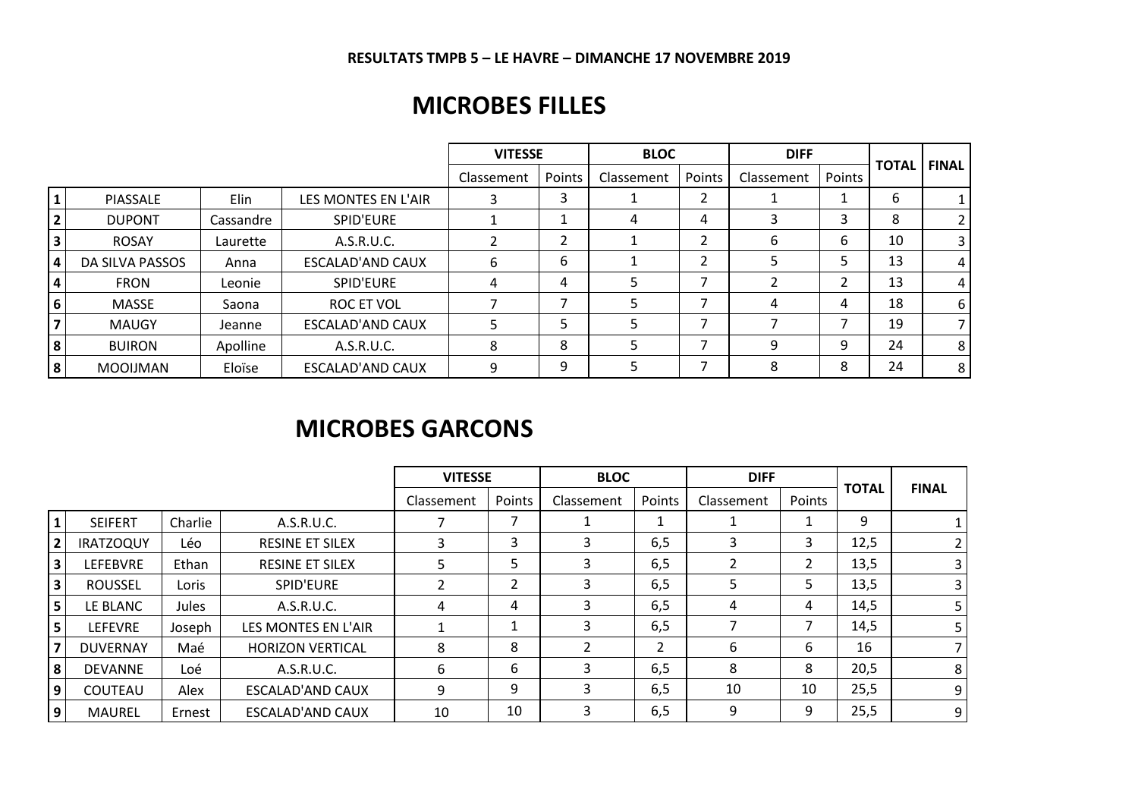#### **RESULTATS TMPB 5 – LE HAVRE – DIMANCHE 17 NOVEMBRE 2019**

## **MICROBES FILLES**

|                         |                 |           |                         | <b>VITESSE</b> |        | <b>BLOC</b> |                | <b>DIFF</b> |        |              | <b>FINAL</b> |
|-------------------------|-----------------|-----------|-------------------------|----------------|--------|-------------|----------------|-------------|--------|--------------|--------------|
|                         |                 |           |                         | Classement     | Points | Classement  | Points         | Classement  | Points | <b>TOTAL</b> |              |
| $\mathbf{1}$            | <b>PIASSALE</b> | Elin      | LES MONTES EN L'AIR     | 3              | 3      |             | 2              |             |        | 6            |              |
| $\overline{2}$          | <b>DUPONT</b>   | Cassandre | SPID'EURE               |                |        | 4           | 4              | 3           | 3      | 8            | 2            |
| $\overline{\mathbf{3}}$ | <b>ROSAY</b>    | Laurette  | A.S.R.U.C.              |                | າ      |             | 2              | 6           | 6      | 10           |              |
| <b>4</b>                | DA SILVA PASSOS | Anna      | <b>ESCALAD'AND CAUX</b> | 6              | 6      |             | $\overline{2}$ |             | 5      | 13           | 4            |
| $\overline{4}$          | <b>FRON</b>     | Leonie    | SPID'EURE               | 4              | 4      | 5           |                |             | ำ      | 13           | 4            |
| 6                       | MASSE           | Saona     | ROC ET VOL              |                | ⇁      |             |                | 4           | 4      | 18           | 6            |
| $\overline{7}$          | <b>MAUGY</b>    | Jeanne    | ESCALAD'AND CAUX        |                |        |             |                |             |        | 19           |              |
| 8                       | <b>BUIRON</b>   | Apolline  | A.S.R.U.C.              | 8              | 8      | 5           |                | 9           | 9      | 24           | 8            |
| 8                       | <b>MOOIJMAN</b> | Eloïse    | ESCALAD'AND CAUX        | 9              | 9      |             |                | 8           | 8      | 24           | 8            |

## **MICROBES GARCONS**

|                         |                  |         |                         | <b>VITESSE</b> |                | <b>BLOC</b>   |                | <b>DIFF</b>              |        |              |                |  |
|-------------------------|------------------|---------|-------------------------|----------------|----------------|---------------|----------------|--------------------------|--------|--------------|----------------|--|
|                         |                  |         |                         | Classement     | Points         | Classement    | Points         | Classement               | Points | <b>TOTAL</b> | <b>FINAL</b>   |  |
|                         | <b>SEIFERT</b>   | Charlie | A.S.R.U.C.              |                |                |               |                |                          |        | 9            |                |  |
| $\overline{2}$          | <b>IRATZOQUY</b> | Léo     | <b>RESINE ET SILEX</b>  | 3.             | 3              | 3.            | 6,5            | 3                        | 3      | 12,5         | $\overline{2}$ |  |
| $\overline{\mathbf{3}}$ | <b>LEFEBVRE</b>  | Ethan   | <b>RESINE ET SILEX</b>  | 5.             | 5.             | 3             | 6,5            | 2                        | 2      | 13,5         | 3 <sup>1</sup> |  |
| $\mathbf{3}$            | <b>ROUSSEL</b>   | Loris   | SPID'EURE               |                | $\overline{2}$ | 3             | 6,5            | 5                        | 5      | 13,5         | 3 <sup>1</sup> |  |
| $\overline{\mathbf{5}}$ | LE BLANC         | Jules   | A.S.R.U.C.              | 4              | 4              | 3             | 6,5            | 4                        | 4      | 14,5         | 5 <sub>1</sub> |  |
| 5                       | <b>LEFEVRE</b>   | Joseph  | LES MONTES EN L'AIR     |                | T.             | 3             | 6,5            | $\overline{\phantom{a}}$ |        | 14,5         | 5 <sub>1</sub> |  |
| 7                       | <b>DUVERNAY</b>  | Maé     | <b>HORIZON VERTICAL</b> | 8              | 8              | $\mathcal{L}$ | $\overline{2}$ | 6                        | 6      | 16           | $\overline{7}$ |  |
| 8                       | <b>DEVANNE</b>   | Loé     | A.S.R.U.C.              | 6              | 6              | 3             | 6,5            | 8                        | 8      | 20,5         | 8              |  |
| 9                       | COUTEAU          | Alex    | <b>ESCALAD'AND CAUX</b> | 9              | 9              | 3.            | 6,5            | 10                       | 10     | 25,5         | 9 <sup>1</sup> |  |
| 9                       | MAUREL           | Ernest  | <b>ESCALAD'AND CAUX</b> | 10             | 10             | 3             | 6,5            | 9                        | 9      | 25,5         | 9 <sup>1</sup> |  |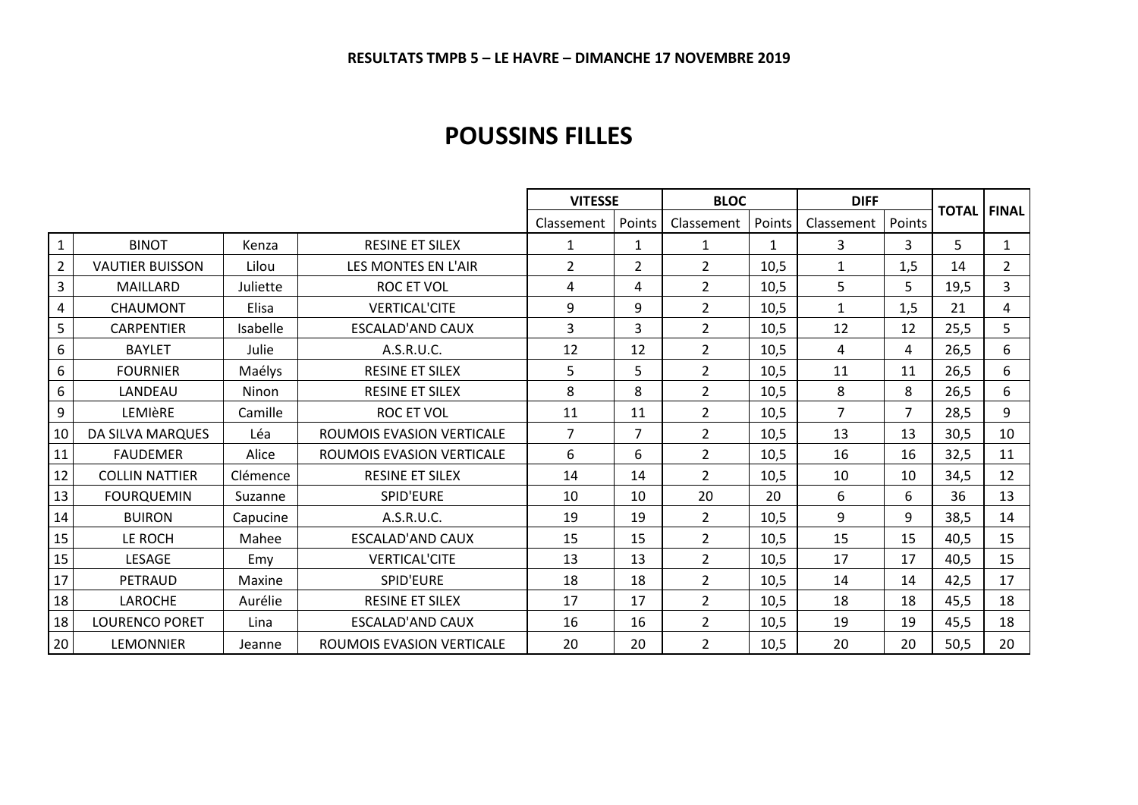### **POUSSINS FILLES**

|                |                        |          |                           | <b>VITESSE</b> |                | <b>BLOC</b>    | <b>DIFF</b> |                |                | <b>TOTAL</b> | <b>FINAL</b>   |
|----------------|------------------------|----------|---------------------------|----------------|----------------|----------------|-------------|----------------|----------------|--------------|----------------|
|                |                        |          |                           | Classement     | Points         | Classement     | Points      | Classement     | Points         |              |                |
| 1              | <b>BINOT</b>           | Kenza    | <b>RESINE ET SILEX</b>    | $\mathbf{1}$   | $\mathbf{1}$   | 1              | 1           | 3              | 3              | 5            | $\mathbf{1}$   |
| $\overline{2}$ | <b>VAUTIER BUISSON</b> | Lilou    | LES MONTES EN L'AIR       | $\overline{2}$ | $\overline{2}$ | $\overline{2}$ | 10,5        | $\mathbf{1}$   | 1,5            | 14           | $\overline{2}$ |
| 3              | MAILLARD               | Juliette | <b>ROC ET VOL</b>         | 4              | 4              | $\overline{2}$ | 10,5        | 5              | 5              | 19,5         | 3              |
| 4              | <b>CHAUMONT</b>        | Elisa    | <b>VERTICAL'CITE</b>      | 9              | 9              | $\overline{2}$ | 10,5        | 1              | 1,5            | 21           | 4              |
| 5              | <b>CARPENTIER</b>      | Isabelle | ESCALAD'AND CAUX          | 3              | 3              | $\overline{2}$ | 10,5        | 12             | 12             | 25,5         | 5              |
| 6              | <b>BAYLET</b>          | Julie    | A.S.R.U.C.                | 12             | 12             | $\overline{2}$ | 10,5        | 4              | 4              | 26,5         | 6              |
| 6              | <b>FOURNIER</b>        | Maélys   | <b>RESINE ET SILEX</b>    | 5              | 5.             | $\overline{2}$ | 10,5        | 11             | 11             | 26,5         | 6              |
| 6              | LANDEAU                | Ninon    | <b>RESINE ET SILEX</b>    | 8              | 8              | $\overline{2}$ | 10,5        | 8              | 8              | 26,5         | 6              |
| 9              | LEMIèRE                | Camille  | <b>ROC ET VOL</b>         | 11             | 11             | $\overline{2}$ | 10,5        | $\overline{7}$ | $\overline{7}$ | 28,5         | 9              |
| 10             | DA SILVA MARQUES       | Léa      | ROUMOIS EVASION VERTICALE | $\overline{7}$ | $\overline{7}$ | $\overline{2}$ | 10,5        | 13             | 13             | 30,5         | 10             |
| 11             | <b>FAUDEMER</b>        | Alice    | ROUMOIS EVASION VERTICALE | 6              | 6              | $\overline{2}$ | 10,5        | 16             | 16             | 32,5         | 11             |
| 12             | <b>COLLIN NATTIER</b>  | Clémence | <b>RESINE ET SILEX</b>    | 14             | 14             | $\overline{2}$ | 10,5        | 10             | 10             | 34,5         | 12             |
| 13             | <b>FOURQUEMIN</b>      | Suzanne  | SPID'EURE                 | 10             | 10             | 20             | 20          | 6              | 6              | 36           | 13             |
| 14             | <b>BUIRON</b>          | Capucine | A.S.R.U.C.                | 19             | 19             | $\overline{2}$ | 10,5        | 9              | 9              | 38,5         | 14             |
| 15             | LE ROCH                | Mahee    | ESCALAD'AND CAUX          | 15             | 15             | $\overline{2}$ | 10,5        | 15             | 15             | 40,5         | 15             |
| 15             | LESAGE                 | Emy      | <b>VERTICAL'CITE</b>      | 13             | 13             | $\overline{2}$ | 10,5        | 17             | 17             | 40,5         | 15             |
| 17             | PETRAUD                | Maxine   | SPID'EURE                 | 18             | 18             | $\overline{2}$ | 10,5        | 14             | 14             | 42,5         | 17             |
| 18             | <b>LAROCHE</b>         | Aurélie  | <b>RESINE ET SILEX</b>    | 17             | 17             | $\overline{2}$ | 10,5        | 18             | 18             | 45,5         | 18             |
| 18             | <b>LOURENCO PORET</b>  | Lina     | <b>ESCALAD'AND CAUX</b>   | 16             | 16             | $\overline{2}$ | 10,5        | 19             | 19             | 45,5         | 18             |
| 20             | <b>LEMONNIER</b>       | Jeanne   | ROUMOIS EVASION VERTICALE | 20             | 20             | $\overline{2}$ | 10,5        | 20             | 20             | 50,5         | 20             |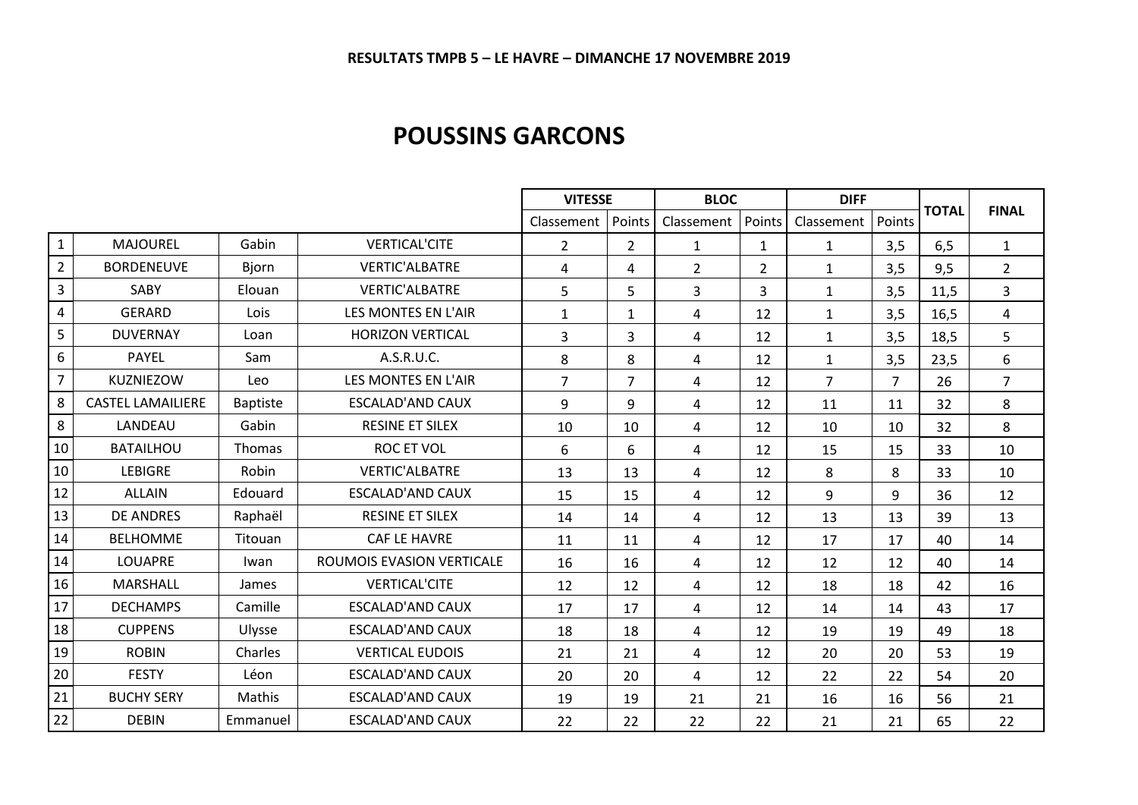#### **POUSSINS GARCONS**

|                |                          |                 |                           | <b>VITESSE</b> |                | <b>BLOC</b>    |              | <b>DIFF</b>    |                |              |                |
|----------------|--------------------------|-----------------|---------------------------|----------------|----------------|----------------|--------------|----------------|----------------|--------------|----------------|
|                |                          |                 |                           | Classement     | Points         | Classement     | Points       | Classement     | Points         | <b>TOTAL</b> | <b>FINAL</b>   |
| $\mathbf{1}$   | <b>MAJOUREL</b>          | Gabin           | <b>VERTICAL'CITE</b>      | $\overline{2}$ | $\overline{2}$ | $\mathbf{1}$   | $\mathbf{1}$ | $\mathbf{1}$   | 3,5            | 6,5          | $\mathbf{1}$   |
| $\overline{2}$ | <b>BORDENEUVE</b>        | <b>Bjorn</b>    | <b>VERTIC'ALBATRE</b>     | 4              | 4              | $\overline{2}$ | 2            | $\mathbf{1}$   | 3,5            | 9,5          | $\overline{2}$ |
| $\overline{3}$ | SABY                     | Elouan          | <b>VERTIC'ALBATRE</b>     | 5              | 5              | $\overline{3}$ | 3            | $\mathbf{1}$   | 3,5            | 11,5         | 3              |
| $\pmb{4}$      | <b>GERARD</b>            | Lois            | LES MONTES EN L'AIR       | $\mathbf{1}$   | $\mathbf{1}$   | $\overline{4}$ | 12           | $\mathbf{1}$   | 3,5            | 16,5         | 4              |
| 5              | <b>DUVERNAY</b>          | Loan            | <b>HORIZON VERTICAL</b>   | 3              | 3              | 4              | 12           | 1              | 3,5            | 18,5         | 5              |
| $\sqrt{6}$     | <b>PAYEL</b>             | Sam             | A.S.R.U.C.                | 8              | 8              | 4              | 12           | 1              | 3,5            | 23,5         | 6              |
| $\overline{7}$ | KUZNIEZOW                | Leo             | LES MONTES EN L'AIR       | $\overline{7}$ | $\overline{7}$ | 4              | 12           | $\overline{7}$ | $\overline{7}$ | 26           | $\overline{7}$ |
| $\,8\,$        | <b>CASTEL LAMAILIERE</b> | <b>Baptiste</b> | <b>ESCALAD'AND CAUX</b>   | 9              | 9              | $\overline{4}$ | 12           | 11             | 11             | 32           | 8              |
| 8              | LANDEAU                  | Gabin           | <b>RESINE ET SILEX</b>    | 10             | 10             | $\overline{4}$ | 12           | 10             | 10             | 32           | 8              |
| 10             | <b>BATAILHOU</b>         | <b>Thomas</b>   | <b>ROC ET VOL</b>         | 6              | 6              | $\overline{4}$ | 12           | 15             | 15             | 33           | 10             |
| 10             | <b>LEBIGRE</b>           | Robin           | <b>VERTIC'ALBATRE</b>     | 13             | 13             | 4              | 12           | 8              | 8              | 33           | 10             |
| 12             | <b>ALLAIN</b>            | Edouard         | <b>ESCALAD'AND CAUX</b>   | 15             | 15             | 4              | 12           | 9              | 9              | 36           | 12             |
| 13             | <b>DE ANDRES</b>         | Raphaël         | <b>RESINE ET SILEX</b>    | 14             | 14             | $\overline{4}$ | 12           | 13             | 13             | 39           | 13             |
| 14             | <b>BELHOMME</b>          | Titouan         | CAF LE HAVRE              | 11             | 11             | 4              | 12           | 17             | 17             | 40           | 14             |
| 14             | LOUAPRE                  | Iwan            | ROUMOIS EVASION VERTICALE | 16             | 16             | 4              | 12           | 12             | 12             | 40           | 14             |
| 16             | <b>MARSHALL</b>          | James           | <b>VERTICAL'CITE</b>      | 12             | 12             | 4              | 12           | 18             | 18             | 42           | 16             |
| 17             | <b>DECHAMPS</b>          | Camille         | <b>ESCALAD'AND CAUX</b>   | 17             | 17             | 4              | 12           | 14             | 14             | 43           | 17             |
| 18             | <b>CUPPENS</b>           | Ulysse          | <b>ESCALAD'AND CAUX</b>   | 18             | 18             | 4              | 12           | 19             | 19             | 49           | 18             |
| 19             | <b>ROBIN</b>             | Charles         | <b>VERTICAL EUDOIS</b>    | 21             | 21             | $\overline{4}$ | 12           | 20             | 20             | 53           | 19             |
| 20             | <b>FESTY</b>             | Léon            | <b>ESCALAD'AND CAUX</b>   | 20             | 20             | 4              | 12           | 22             | 22             | 54           | 20             |
| 21             | <b>BUCHY SERY</b>        | Mathis          | <b>ESCALAD'AND CAUX</b>   | 19             | 19             | 21             | 21           | 16             | 16             | 56           | 21             |
| 22             | <b>DEBIN</b>             | Emmanuel        | <b>ESCALAD'AND CAUX</b>   | 22             | 22             | 22             | 22           | 21             | 21             | 65           | 22             |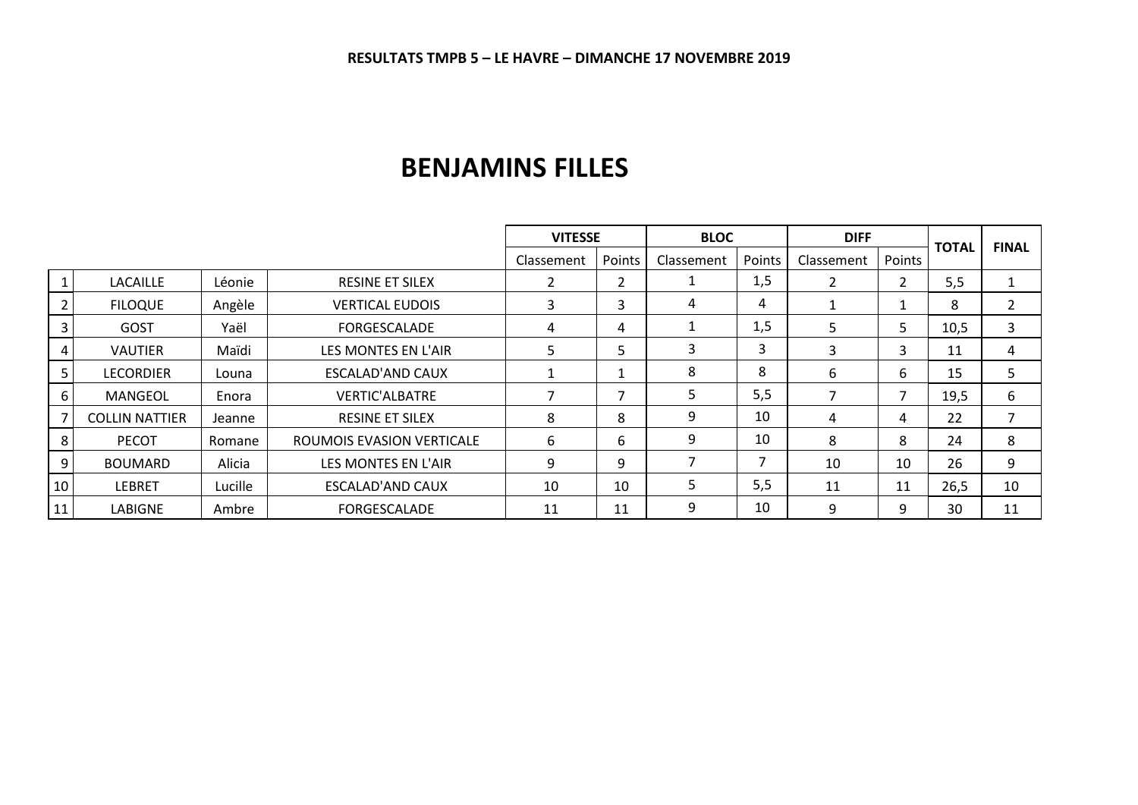## **BENJAMINS FILLES**

|                |                       |         |                           | <b>VITESSE</b> |        | <b>BLOC</b>              |                | <b>DIFF</b>       |        |              |                |
|----------------|-----------------------|---------|---------------------------|----------------|--------|--------------------------|----------------|-------------------|--------|--------------|----------------|
|                |                       |         |                           | Classement     | Points | Classement               | Points         | <b>Classement</b> | Points | <b>TOTAL</b> | <b>FINAL</b>   |
|                | <b>LACAILLE</b>       | Léonie  | <b>RESINE ET SILEX</b>    |                | ີ      |                          | 1,5            | ົາ                | 2      | 5,5          | $\mathbf{1}$   |
|                | <b>FILOQUE</b>        | Angèle  | <b>VERTICAL EUDOIS</b>    | 3              | 3      | 4                        | 4              |                   |        | 8            | $\overline{2}$ |
| 3              | GOST                  | Yaël    | <b>FORGESCALADE</b>       | 4              | 4      |                          | 1,5            | 5                 | 5      | 10,5         | 3              |
| 4 I            | <b>VAUTIER</b>        | Maïdi   | LES MONTES EN L'AIR       | 5              | 5      | 3                        | 3              | 3                 | 3      | 11           | 4              |
| 5              | <b>LECORDIER</b>      | Louna   | ESCALAD'AND CAUX          |                |        | 8                        | 8              | 6                 | 6      | 15           | 5              |
| 6              | <b>MANGEOL</b>        | Enora   | <b>VERTIC'ALBATRE</b>     |                | −      | 5                        | 5,5            |                   | 7      | 19,5         | 6              |
|                | <b>COLLIN NATTIER</b> | Jeanne  | <b>RESINE ET SILEX</b>    | 8              | 8      | 9                        | 10             | 4                 | 4      | 22           | 7              |
| 8 <sup>1</sup> | <b>PECOT</b>          | Romane  | ROUMOIS EVASION VERTICALE | 6              | 6      | 9                        | 10             | 8                 | 8      | 24           | 8              |
| 9 <sub>l</sub> | <b>BOUMARD</b>        | Alicia  | LES MONTES EN L'AIR       | 9              | 9      | $\overline{\phantom{a}}$ | $\overline{7}$ | 10                | 10     | 26           | 9              |
| 10             | <b>LEBRET</b>         | Lucille | <b>ESCALAD'AND CAUX</b>   | 10             | 10     | 5                        | 5,5            | 11                | 11     | 26,5         | 10             |
| 11             | LABIGNE               | Ambre   | FORGESCALADE              | 11             | 11     | 9                        | 10             | 9                 | 9      | 30           | 11             |